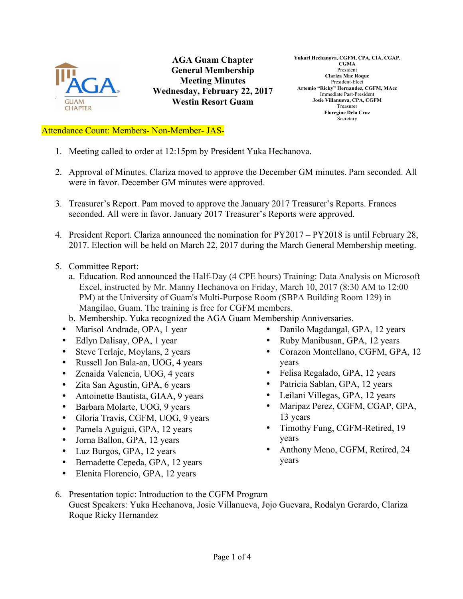

**AGA Guam Chapter General Membership Meeting Minutes Wednesday, February 22, 2017 Westin Resort Guam**

**Yukari Hechanova, CGFM, CPA, CIA, CGAP, CGMA** President **Clariza Mae Roque** President-Elect **Artemio "Ricky" Hernandez, CGFM, MAcc** Immediate Past-President **Josie Villanueva, CPA, CGFM** Treasurer **Floregine Dela Cruz** Secretary

## Attendance Count: Members- Non-Member- JAS-

- 1. Meeting called to order at 12:15pm by President Yuka Hechanova.
- 2. Approval of Minutes. Clariza moved to approve the December GM minutes. Pam seconded. All were in favor. December GM minutes were approved.
- 3. Treasurer's Report. Pam moved to approve the January 2017 Treasurer's Reports. Frances seconded. All were in favor. January 2017 Treasurer's Reports were approved.
- 4. President Report. Clariza announced the nomination for PY2017 PY2018 is until February 28, 2017. Election will be held on March 22, 2017 during the March General Membership meeting.
- 5. Committee Report:
	- a. Education. Rod announced the Half-Day (4 CPE hours) Training: Data Analysis on Microsoft Excel, instructed by Mr. Manny Hechanova on Friday, March 10, 2017 (8:30 AM to 12:00 PM) at the University of Guam's Multi-Purpose Room (SBPA Building Room 129) in Mangilao, Guam. The training is free for CGFM members.
	- b. Membership. Yuka recognized the AGA Guam Membership Anniversaries.
	- Marisol Andrade, OPA, 1 year
	- Edlyn Dalisay, OPA, 1 year
	- Steve Terlaje, Moylans, 2 years
	- Russell Jon Bala-an, UOG, 4 years
	- Zenaida Valencia, UOG, 4 years
	- Zita San Agustin, GPA, 6 years
	- Antoinette Bautista, GIAA, 9 years
	- Barbara Molarte, UOG, 9 years
	- Gloria Travis, CGFM, UOG, 9 years
	- Pamela Aguigui, GPA, 12 years
	- Jorna Ballon, GPA, 12 years
	- Luz Burgos, GPA, 12 years
	- Bernadette Cepeda, GPA, 12 years
	- Elenita Florencio, GPA, 12 years
- Danilo Magdangal, GPA, 12 years
- Ruby Manibusan, GPA, 12 years
- Corazon Montellano, CGFM, GPA, 12 years
- Felisa Regalado, GPA, 12 years
- Patricia Sablan, GPA, 12 years
- Leilani Villegas, GPA, 12 years
- Maripaz Perez, CGFM, CGAP, GPA, 13 years
- Timothy Fung, CGFM-Retired, 19 years
- Anthony Meno, CGFM, Retired, 24 years
- 6. Presentation topic: Introduction to the CGFM Program Guest Speakers: Yuka Hechanova, Josie Villanueva, Jojo Guevara, Rodalyn Gerardo, Clariza Roque Ricky Hernandez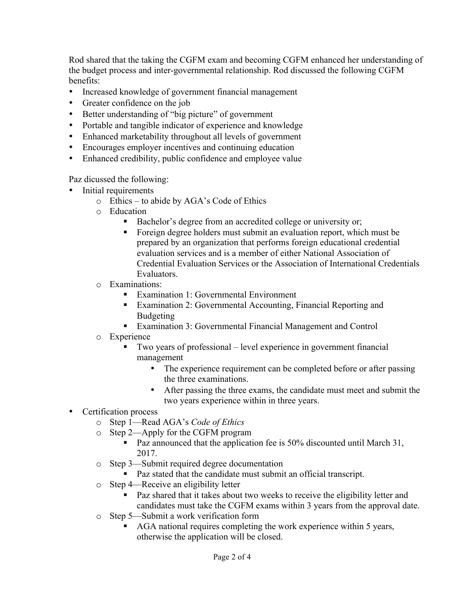Rod shared that the taking the CGFM exam and becoming CGFM enhanced her understanding of the budget process and inter-governmental relationship. Rod discussed the following CGFM benefits:

- Increased knowledge of government financial management
- Greater confidence on the job
- Better understanding of "big picture" of government
- Portable and tangible indicator of experience and knowledge
- Enhanced marketability throughout all levels of government
- Encourages employer incentives and continuing education
- Enhanced credibility, public confidence and employee value

Paz dicussed the following:

- Initial requirements
	- o Ethics to abide by AGA's Code of Ethics
	- o Education
		- Bachelor's degree from an accredited college or university or;
		- § Foreign degree holders must submit an evaluation report, which must be prepared by an organization that performs foreign educational credential evaluation services and is a member of either National Association of Credential Evaluation Services or the Association of International Credentials Evaluators.
	- o Examinations:
		- Examination 1: Governmental Environment
		- Examination 2: Governmental Accounting, Financial Reporting and Budgeting
		- Examination 3: Governmental Financial Management and Control
	- o Experience
		- § Two years of professional level experience in government financial management
			- The experience requirement can be completed before or after passing the three examinations.
			- After passing the three exams, the candidate must meet and submit the two years experience within in three years.
- Certification process
	- o Step 1—Read AGA's *Code of Ethics*
	- o Step 2—Apply for the CGFM program
		- Paz announced that the application fee is 50% discounted until March 31, 2017.
	- o Step 3—Submit required degree documentation
		- Paz stated that the candidate must submit an official transcript.
	- o Step 4—Receive an eligibility letter
		- Paz shared that it takes about two weeks to receive the eligibility letter and candidates must take the CGFM exams within 3 years from the approval date.
	- o Step 5—Submit a work verification form
		- § AGA national requires completing the work experience within 5 years, otherwise the application will be closed.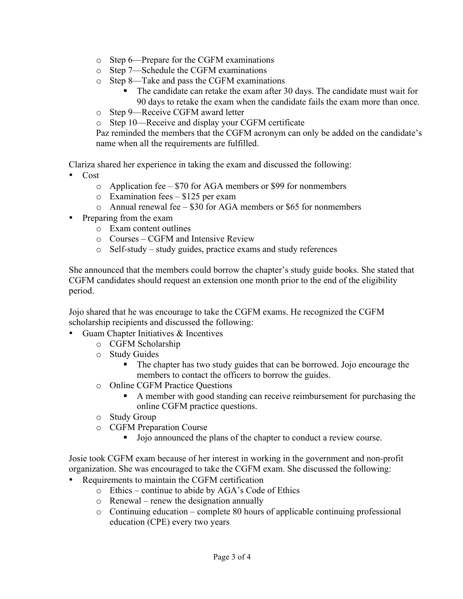- o Step 6—Prepare for the CGFM examinations
- o Step 7—Schedule the CGFM examinations
- o Step 8—Take and pass the CGFM examinations
	- The candidate can retake the exam after 30 days. The candidate must wait for 90 days to retake the exam when the candidate fails the exam more than once.
- o Step 9—Receive CGFM award letter
- o Step 10—Receive and display your CGFM certificate

Paz reminded the members that the CGFM acronym can only be added on the candidate's name when all the requirements are fulfilled.

Clariza shared her experience in taking the exam and discussed the following:

- Cost
	- o Application fee \$70 for AGA members or \$99 for nonmembers
	- o Examination fees \$125 per exam
	- o Annual renewal fee \$30 for AGA members or \$65 for nonmembers
- Preparing from the exam
	- o Exam content outlines
	- o Courses CGFM and Intensive Review
	- o Self-study study guides, practice exams and study references

She announced that the members could borrow the chapter's study guide books. She stated that CGFM candidates should request an extension one month prior to the end of the eligibility period.

Jojo shared that he was encourage to take the CGFM exams. He recognized the CGFM scholarship recipients and discussed the following:

- Guam Chapter Initiatives & Incentives
	- o CGFM Scholarship
	- o Study Guides
		- The chapter has two study guides that can be borrowed. Jojo encourage the members to contact the officers to borrow the guides.
	- o Online CGFM Practice Questions
		- A member with good standing can receive reimbursement for purchasing the online CGFM practice questions.
	- o Study Group
	- o CGFM Preparation Course
		- Jojo announced the plans of the chapter to conduct a review course.

Josie took CGFM exam because of her interest in working in the government and non-profit organization. She was encouraged to take the CGFM exam. She discussed the following:

- Requirements to maintain the CGFM certification
	- o Ethics continue to abide by AGA's Code of Ethics
	- o Renewal renew the designation annually
	- o Continuing education complete 80 hours of applicable continuing professional education (CPE) every two years